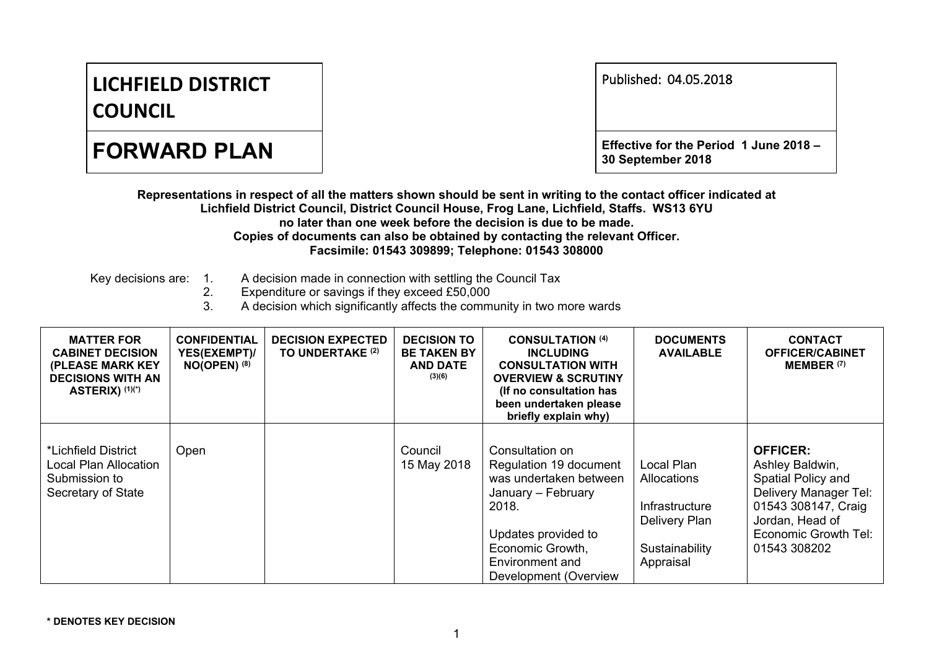## **LICHFIELD DISTRICT COUNCIL**

| Published: 04.05.2018 |  |
|-----------------------|--|
|-----------------------|--|

**FORWARD PLAN Effective** for the Period 1 June 2018 – **30 September 2018**

Representations in respect of all the matters shown should be sent in writing to the contact officer indicated at **Lichfield District Council, District Council House, Frog Lane, Lichfield, Staffs. WS13 6YU no later than one week before the decision is due to be made. Copies of documents can also be obtained by contacting the relevant Officer. Facsimile: 01543 309899; Telephone: 01543 308000**

- Key decisions are: 1. A decision made in connection with settling the Council Tax
	- 2. Expenditure or savings if they exceed £50,000

3. A decision which significantly affects the community in two more wards

| <b>MATTER FOR</b><br><b>CABINET DECISION</b><br>(PLEASE MARK KEY<br><b>DECISIONS WITH AN</b><br><b>ASTERIX) (1)(*)</b> | <b>CONFIDENTIAL</b><br>YES(EXEMPT)/<br>$NO(OPEN)$ (8) | <b>DECISION EXPECTED</b><br>TO UNDERTAKE (2) | <b>DECISION TO</b><br><b>BE TAKEN BY</b><br><b>AND DATE</b><br>(3)(6) | <b>CONSULTATION (4)</b><br><b>INCLUDING</b><br><b>CONSULTATION WITH</b><br><b>OVERVIEW &amp; SCRUTINY</b><br>(If no consultation has<br>been undertaken please<br>briefly explain why)    | <b>DOCUMENTS</b><br><b>AVAILABLE</b>                                                        | <b>CONTACT</b><br><b>OFFICER/CABINET</b><br>MEMBER <sup>(7)</sup>                                                                                                   |
|------------------------------------------------------------------------------------------------------------------------|-------------------------------------------------------|----------------------------------------------|-----------------------------------------------------------------------|-------------------------------------------------------------------------------------------------------------------------------------------------------------------------------------------|---------------------------------------------------------------------------------------------|---------------------------------------------------------------------------------------------------------------------------------------------------------------------|
| *Lichfield District<br>Local Plan Allocation<br>Submission to<br>Secretary of State                                    | Open                                                  |                                              | Council<br>15 May 2018                                                | Consultation on<br>Regulation 19 document<br>was undertaken between<br>January – February<br>2018.<br>Updates provided to<br>Economic Growth,<br>Environment and<br>Development (Overview | Local Plan<br>Allocations<br>Infrastructure<br>Delivery Plan<br>Sustainability<br>Appraisal | <b>OFFICER:</b><br>Ashley Baldwin,<br>Spatial Policy and<br>Delivery Manager Tel:<br>01543 308147, Craig<br>Jordan, Head of<br>Economic Growth Tel:<br>01543 308202 |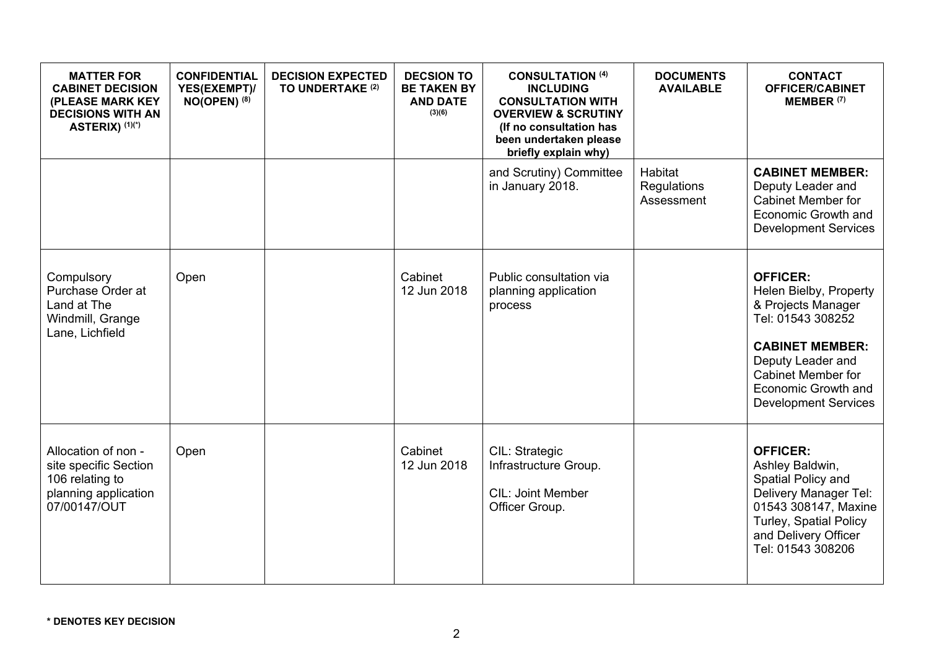| <b>MATTER FOR</b><br><b>CABINET DECISION</b><br>(PLEASE MARK KEY<br><b>DECISIONS WITH AN</b><br>ASTERIX) (1)(*) | <b>CONFIDENTIAL</b><br>YES(EXEMPT)/<br>$NO(OPEN)$ <sup>(8)</sup> | <b>DECISION EXPECTED</b><br>TO UNDERTAKE (2) | <b>DECSION TO</b><br><b>BE TAKEN BY</b><br><b>AND DATE</b><br>(3)(6) | <b>CONSULTATION (4)</b><br><b>INCLUDING</b><br><b>CONSULTATION WITH</b><br><b>OVERVIEW &amp; SCRUTINY</b><br>(If no consultation has<br>been undertaken please<br>briefly explain why) | <b>DOCUMENTS</b><br><b>AVAILABLE</b> | <b>CONTACT</b><br><b>OFFICER/CABINET</b><br><b>MEMBER (7)</b>                                                                                                                                                          |
|-----------------------------------------------------------------------------------------------------------------|------------------------------------------------------------------|----------------------------------------------|----------------------------------------------------------------------|----------------------------------------------------------------------------------------------------------------------------------------------------------------------------------------|--------------------------------------|------------------------------------------------------------------------------------------------------------------------------------------------------------------------------------------------------------------------|
|                                                                                                                 |                                                                  |                                              |                                                                      | and Scrutiny) Committee<br>in January 2018.                                                                                                                                            | Habitat<br>Regulations<br>Assessment | <b>CABINET MEMBER:</b><br>Deputy Leader and<br><b>Cabinet Member for</b><br>Economic Growth and<br><b>Development Services</b>                                                                                         |
| Compulsory<br>Purchase Order at<br>Land at The<br>Windmill, Grange<br>Lane, Lichfield                           | Open                                                             |                                              | Cabinet<br>12 Jun 2018                                               | Public consultation via<br>planning application<br>process                                                                                                                             |                                      | <b>OFFICER:</b><br>Helen Bielby, Property<br>& Projects Manager<br>Tel: 01543 308252<br><b>CABINET MEMBER:</b><br>Deputy Leader and<br><b>Cabinet Member for</b><br>Economic Growth and<br><b>Development Services</b> |
| Allocation of non -<br>site specific Section<br>106 relating to<br>planning application<br>07/00147/OUT         | Open                                                             |                                              | Cabinet<br>12 Jun 2018                                               | CIL: Strategic<br>Infrastructure Group.<br><b>CIL: Joint Member</b><br>Officer Group.                                                                                                  |                                      | <b>OFFICER:</b><br>Ashley Baldwin,<br>Spatial Policy and<br>Delivery Manager Tel:<br>01543 308147, Maxine<br><b>Turley, Spatial Policy</b><br>and Delivery Officer<br>Tel: 01543 308206                                |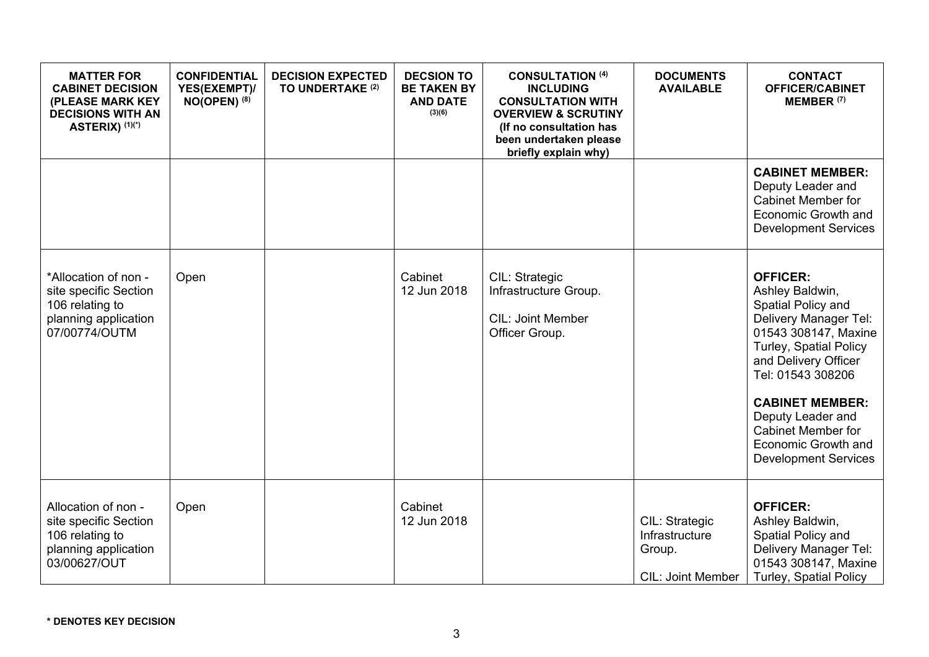| <b>MATTER FOR</b><br><b>CABINET DECISION</b><br>(PLEASE MARK KEY<br><b>DECISIONS WITH AN</b><br>ASTERIX) (1)(*) | <b>CONFIDENTIAL</b><br>YES(EXEMPT)/<br>$NO(OPEN)$ <sup>(8)</sup> | <b>DECISION EXPECTED</b><br>TO UNDERTAKE (2) | <b>DECSION TO</b><br><b>BE TAKEN BY</b><br><b>AND DATE</b><br>(3)(6) | <b>CONSULTATION (4)</b><br><b>INCLUDING</b><br><b>CONSULTATION WITH</b><br><b>OVERVIEW &amp; SCRUTINY</b><br>(If no consultation has<br>been undertaken please<br>briefly explain why) | <b>DOCUMENTS</b><br><b>AVAILABLE</b>                                   | <b>CONTACT</b><br><b>OFFICER/CABINET</b><br><b>MEMBER (7)</b>                                                                                                                                                                                                                                                      |
|-----------------------------------------------------------------------------------------------------------------|------------------------------------------------------------------|----------------------------------------------|----------------------------------------------------------------------|----------------------------------------------------------------------------------------------------------------------------------------------------------------------------------------|------------------------------------------------------------------------|--------------------------------------------------------------------------------------------------------------------------------------------------------------------------------------------------------------------------------------------------------------------------------------------------------------------|
|                                                                                                                 |                                                                  |                                              |                                                                      |                                                                                                                                                                                        |                                                                        | <b>CABINET MEMBER:</b><br>Deputy Leader and<br><b>Cabinet Member for</b><br>Economic Growth and<br><b>Development Services</b>                                                                                                                                                                                     |
| *Allocation of non -<br>site specific Section<br>106 relating to<br>planning application<br>07/00774/OUTM       | Open                                                             |                                              | Cabinet<br>12 Jun 2018                                               | CIL: Strategic<br>Infrastructure Group.<br><b>CIL: Joint Member</b><br>Officer Group.                                                                                                  |                                                                        | <b>OFFICER:</b><br>Ashley Baldwin,<br>Spatial Policy and<br>Delivery Manager Tel:<br>01543 308147, Maxine<br>Turley, Spatial Policy<br>and Delivery Officer<br>Tel: 01543 308206<br><b>CABINET MEMBER:</b><br>Deputy Leader and<br><b>Cabinet Member for</b><br>Economic Growth and<br><b>Development Services</b> |
| Allocation of non -<br>site specific Section<br>106 relating to<br>planning application<br>03/00627/OUT         | Open                                                             |                                              | Cabinet<br>12 Jun 2018                                               |                                                                                                                                                                                        | CIL: Strategic<br>Infrastructure<br>Group.<br><b>CIL: Joint Member</b> | <b>OFFICER:</b><br>Ashley Baldwin,<br>Spatial Policy and<br>Delivery Manager Tel:<br>01543 308147, Maxine<br><b>Turley, Spatial Policy</b>                                                                                                                                                                         |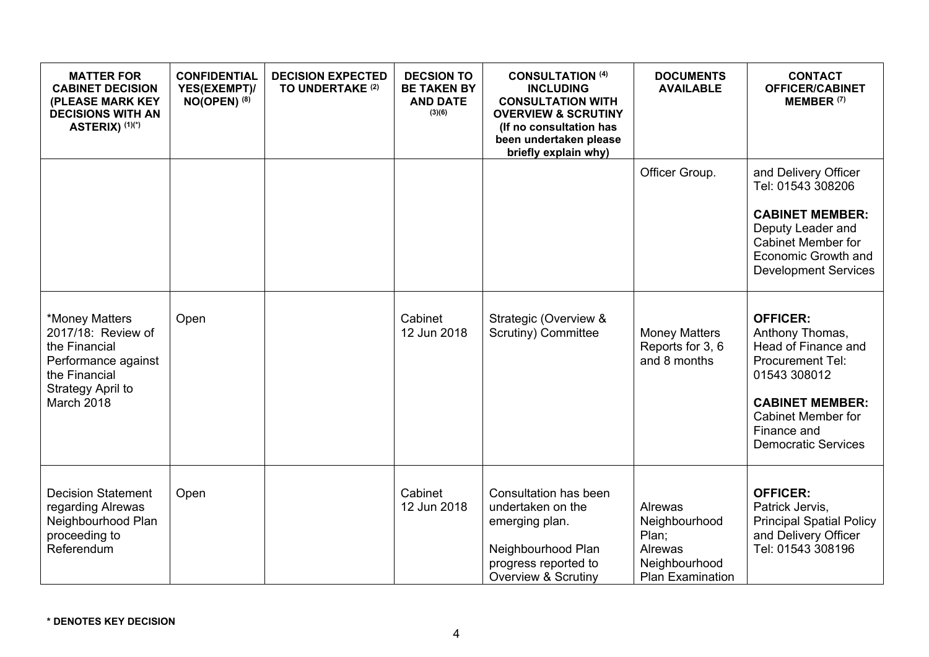| <b>MATTER FOR</b><br><b>CABINET DECISION</b><br>(PLEASE MARK KEY<br><b>DECISIONS WITH AN</b><br>ASTERIX) (1)(*)                  | <b>CONFIDENTIAL</b><br>YES(EXEMPT)/<br>$NO(OPEN)$ <sup>(8)</sup> | <b>DECISION EXPECTED</b><br>TO UNDERTAKE (2) | <b>DECSION TO</b><br><b>BE TAKEN BY</b><br><b>AND DATE</b><br>(3)(6) | <b>CONSULTATION (4)</b><br><b>INCLUDING</b><br><b>CONSULTATION WITH</b><br><b>OVERVIEW &amp; SCRUTINY</b><br>(If no consultation has<br>been undertaken please<br>briefly explain why) | <b>DOCUMENTS</b><br><b>AVAILABLE</b>                                                     | <b>CONTACT</b><br><b>OFFICER/CABINET</b><br>MEMBER <sup>(7)</sup>                                                                                                                                 |
|----------------------------------------------------------------------------------------------------------------------------------|------------------------------------------------------------------|----------------------------------------------|----------------------------------------------------------------------|----------------------------------------------------------------------------------------------------------------------------------------------------------------------------------------|------------------------------------------------------------------------------------------|---------------------------------------------------------------------------------------------------------------------------------------------------------------------------------------------------|
|                                                                                                                                  |                                                                  |                                              |                                                                      |                                                                                                                                                                                        | Officer Group.                                                                           | and Delivery Officer<br>Tel: 01543 308206<br><b>CABINET MEMBER:</b><br>Deputy Leader and<br><b>Cabinet Member for</b><br>Economic Growth and<br><b>Development Services</b>                       |
| *Money Matters<br>2017/18: Review of<br>the Financial<br>Performance against<br>the Financial<br>Strategy April to<br>March 2018 | Open                                                             |                                              | Cabinet<br>12 Jun 2018                                               | Strategic (Overview &<br>Scrutiny) Committee                                                                                                                                           | <b>Money Matters</b><br>Reports for 3, 6<br>and 8 months                                 | <b>OFFICER:</b><br>Anthony Thomas,<br>Head of Finance and<br>Procurement Tel:<br>01543 308012<br><b>CABINET MEMBER:</b><br><b>Cabinet Member for</b><br>Finance and<br><b>Democratic Services</b> |
| <b>Decision Statement</b><br>regarding Alrewas<br>Neighbourhood Plan<br>proceeding to<br>Referendum                              | Open                                                             |                                              | Cabinet<br>12 Jun 2018                                               | Consultation has been<br>undertaken on the<br>emerging plan.<br>Neighbourhood Plan<br>progress reported to<br><b>Overview &amp; Scrutiny</b>                                           | Alrewas<br>Neighbourhood<br>Plan;<br>Alrewas<br>Neighbourhood<br><b>Plan Examination</b> | <b>OFFICER:</b><br>Patrick Jervis,<br><b>Principal Spatial Policy</b><br>and Delivery Officer<br>Tel: 01543 308196                                                                                |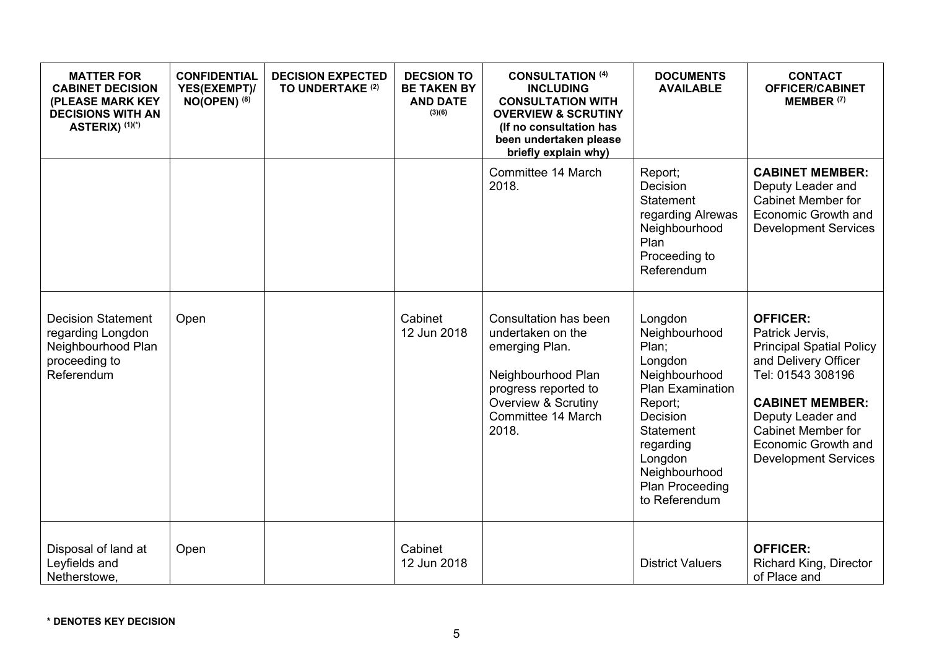| <b>MATTER FOR</b><br><b>CABINET DECISION</b><br>(PLEASE MARK KEY<br><b>DECISIONS WITH AN</b><br>ASTERIX) (1)(*) | <b>CONFIDENTIAL</b><br>YES(EXEMPT)/<br>$NO(OPEN)$ <sup>(8)</sup> | <b>DECISION EXPECTED</b><br>TO UNDERTAKE <sup>(2)</sup> | <b>DECSION TO</b><br><b>BE TAKEN BY</b><br><b>AND DATE</b><br>(3)(6) | <b>CONSULTATION (4)</b><br><b>INCLUDING</b><br><b>CONSULTATION WITH</b><br><b>OVERVIEW &amp; SCRUTINY</b><br>(If no consultation has<br>been undertaken please<br>briefly explain why) | <b>DOCUMENTS</b><br><b>AVAILABLE</b>                                                                                                                                                               | <b>CONTACT</b><br><b>OFFICER/CABINET</b><br>MEMBER <sup>(7)</sup>                                                                                                                                                                                    |
|-----------------------------------------------------------------------------------------------------------------|------------------------------------------------------------------|---------------------------------------------------------|----------------------------------------------------------------------|----------------------------------------------------------------------------------------------------------------------------------------------------------------------------------------|----------------------------------------------------------------------------------------------------------------------------------------------------------------------------------------------------|------------------------------------------------------------------------------------------------------------------------------------------------------------------------------------------------------------------------------------------------------|
|                                                                                                                 |                                                                  |                                                         |                                                                      | Committee 14 March<br>2018.                                                                                                                                                            | Report;<br>Decision<br>Statement<br>regarding Alrewas<br>Neighbourhood<br>Plan<br>Proceeding to<br>Referendum                                                                                      | <b>CABINET MEMBER:</b><br>Deputy Leader and<br><b>Cabinet Member for</b><br>Economic Growth and<br><b>Development Services</b>                                                                                                                       |
| <b>Decision Statement</b><br>regarding Longdon<br>Neighbourhood Plan<br>proceeding to<br>Referendum             | Open                                                             |                                                         | Cabinet<br>12 Jun 2018                                               | Consultation has been<br>undertaken on the<br>emerging Plan.<br>Neighbourhood Plan<br>progress reported to<br><b>Overview &amp; Scrutiny</b><br>Committee 14 March<br>2018.            | Longdon<br>Neighbourhood<br>Plan;<br>Longdon<br>Neighbourhood<br>Plan Examination<br>Report;<br>Decision<br>Statement<br>regarding<br>Longdon<br>Neighbourhood<br>Plan Proceeding<br>to Referendum | <b>OFFICER:</b><br>Patrick Jervis,<br><b>Principal Spatial Policy</b><br>and Delivery Officer<br>Tel: 01543 308196<br><b>CABINET MEMBER:</b><br>Deputy Leader and<br><b>Cabinet Member for</b><br>Economic Growth and<br><b>Development Services</b> |
| Disposal of land at<br>Leyfields and<br>Netherstowe,                                                            | Open                                                             |                                                         | Cabinet<br>12 Jun 2018                                               |                                                                                                                                                                                        | <b>District Valuers</b>                                                                                                                                                                            | <b>OFFICER:</b><br>Richard King, Director<br>of Place and                                                                                                                                                                                            |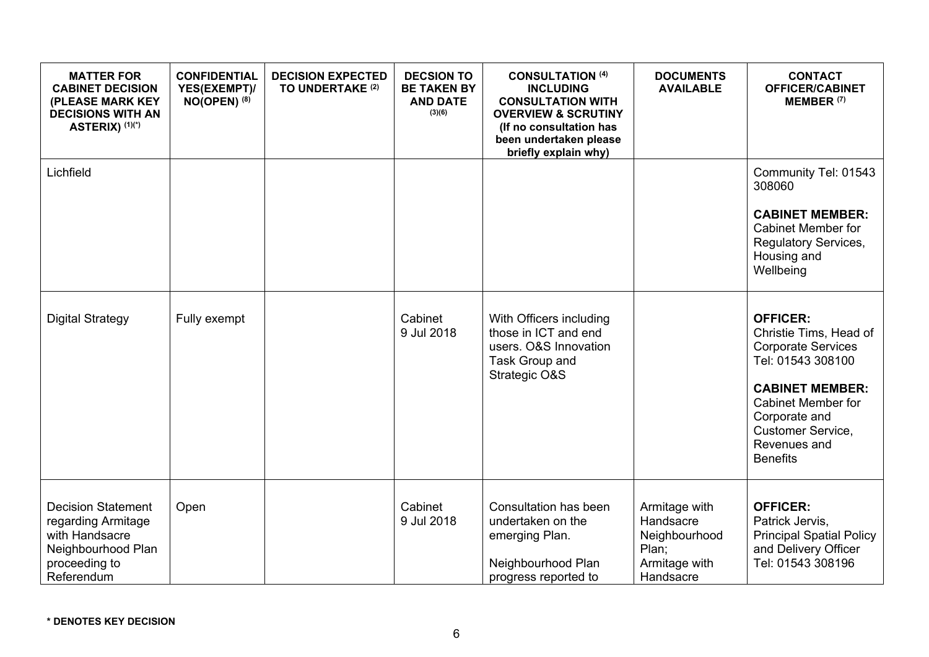| <b>MATTER FOR</b><br><b>CABINET DECISION</b><br>(PLEASE MARK KEY<br><b>DECISIONS WITH AN</b><br>ASTERIX) (1)(*)        | <b>CONFIDENTIAL</b><br>YES(EXEMPT)/<br>$NO(OPEN)$ (8) | <b>DECISION EXPECTED</b><br>TO UNDERTAKE (2) | <b>DECSION TO</b><br><b>BE TAKEN BY</b><br><b>AND DATE</b><br>(3)(6) | <b>CONSULTATION (4)</b><br><b>INCLUDING</b><br><b>CONSULTATION WITH</b><br><b>OVERVIEW &amp; SCRUTINY</b><br>(If no consultation has<br>been undertaken please<br>briefly explain why) | <b>DOCUMENTS</b><br><b>AVAILABLE</b>                                               | <b>CONTACT</b><br><b>OFFICER/CABINET</b><br>MEMBER <sup>(7)</sup>                                                                                                                                                           |
|------------------------------------------------------------------------------------------------------------------------|-------------------------------------------------------|----------------------------------------------|----------------------------------------------------------------------|----------------------------------------------------------------------------------------------------------------------------------------------------------------------------------------|------------------------------------------------------------------------------------|-----------------------------------------------------------------------------------------------------------------------------------------------------------------------------------------------------------------------------|
| Lichfield                                                                                                              |                                                       |                                              |                                                                      |                                                                                                                                                                                        |                                                                                    | Community Tel: 01543<br>308060<br><b>CABINET MEMBER:</b><br><b>Cabinet Member for</b><br><b>Regulatory Services,</b><br>Housing and<br>Wellbeing                                                                            |
| <b>Digital Strategy</b>                                                                                                | Fully exempt                                          |                                              | Cabinet<br>9 Jul 2018                                                | With Officers including<br>those in ICT and end<br>users. O&S Innovation<br>Task Group and<br>Strategic O&S                                                                            |                                                                                    | <b>OFFICER:</b><br>Christie Tims, Head of<br><b>Corporate Services</b><br>Tel: 01543 308100<br><b>CABINET MEMBER:</b><br><b>Cabinet Member for</b><br>Corporate and<br>Customer Service,<br>Revenues and<br><b>Benefits</b> |
| <b>Decision Statement</b><br>regarding Armitage<br>with Handsacre<br>Neighbourhood Plan<br>proceeding to<br>Referendum | Open                                                  |                                              | Cabinet<br>9 Jul 2018                                                | Consultation has been<br>undertaken on the<br>emerging Plan.<br>Neighbourhood Plan<br>progress reported to                                                                             | Armitage with<br>Handsacre<br>Neighbourhood<br>Plan;<br>Armitage with<br>Handsacre | <b>OFFICER:</b><br>Patrick Jervis,<br><b>Principal Spatial Policy</b><br>and Delivery Officer<br>Tel: 01543 308196                                                                                                          |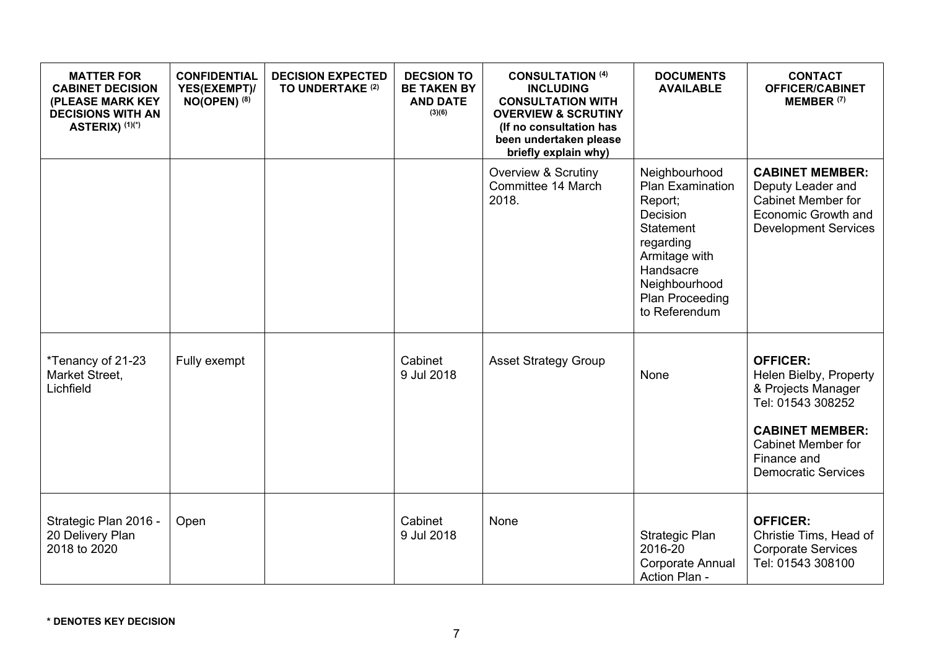| <b>MATTER FOR</b><br><b>CABINET DECISION</b><br>(PLEASE MARK KEY<br><b>DECISIONS WITH AN</b><br>ASTERIX) (1)(*) | <b>CONFIDENTIAL</b><br>YES(EXEMPT)/<br>$NO(OPEN)$ <sup>(8)</sup> | <b>DECISION EXPECTED</b><br>TO UNDERTAKE <sup>(2)</sup> | <b>DECSION TO</b><br><b>BE TAKEN BY</b><br><b>AND DATE</b><br>(3)(6) | <b>CONSULTATION (4)</b><br><b>INCLUDING</b><br><b>CONSULTATION WITH</b><br><b>OVERVIEW &amp; SCRUTINY</b><br>(If no consultation has<br>been undertaken please<br>briefly explain why) | <b>DOCUMENTS</b><br><b>AVAILABLE</b>                                                                                                                                         | <b>CONTACT</b><br><b>OFFICER/CABINET</b><br>MEMBER <sup>(7)</sup>                                                                                                                        |
|-----------------------------------------------------------------------------------------------------------------|------------------------------------------------------------------|---------------------------------------------------------|----------------------------------------------------------------------|----------------------------------------------------------------------------------------------------------------------------------------------------------------------------------------|------------------------------------------------------------------------------------------------------------------------------------------------------------------------------|------------------------------------------------------------------------------------------------------------------------------------------------------------------------------------------|
|                                                                                                                 |                                                                  |                                                         |                                                                      | <b>Overview &amp; Scrutiny</b><br>Committee 14 March<br>2018.                                                                                                                          | Neighbourhood<br>Plan Examination<br>Report;<br>Decision<br><b>Statement</b><br>regarding<br>Armitage with<br>Handsacre<br>Neighbourhood<br>Plan Proceeding<br>to Referendum | <b>CABINET MEMBER:</b><br>Deputy Leader and<br><b>Cabinet Member for</b><br>Economic Growth and<br><b>Development Services</b>                                                           |
| *Tenancy of 21-23<br>Market Street,<br>Lichfield                                                                | Fully exempt                                                     |                                                         | Cabinet<br>9 Jul 2018                                                | <b>Asset Strategy Group</b>                                                                                                                                                            | None                                                                                                                                                                         | <b>OFFICER:</b><br>Helen Bielby, Property<br>& Projects Manager<br>Tel: 01543 308252<br><b>CABINET MEMBER:</b><br><b>Cabinet Member for</b><br>Finance and<br><b>Democratic Services</b> |
| Strategic Plan 2016 -<br>20 Delivery Plan<br>2018 to 2020                                                       | Open                                                             |                                                         | Cabinet<br>9 Jul 2018                                                | None                                                                                                                                                                                   | Strategic Plan<br>2016-20<br>Corporate Annual<br>Action Plan -                                                                                                               | <b>OFFICER:</b><br>Christie Tims, Head of<br><b>Corporate Services</b><br>Tel: 01543 308100                                                                                              |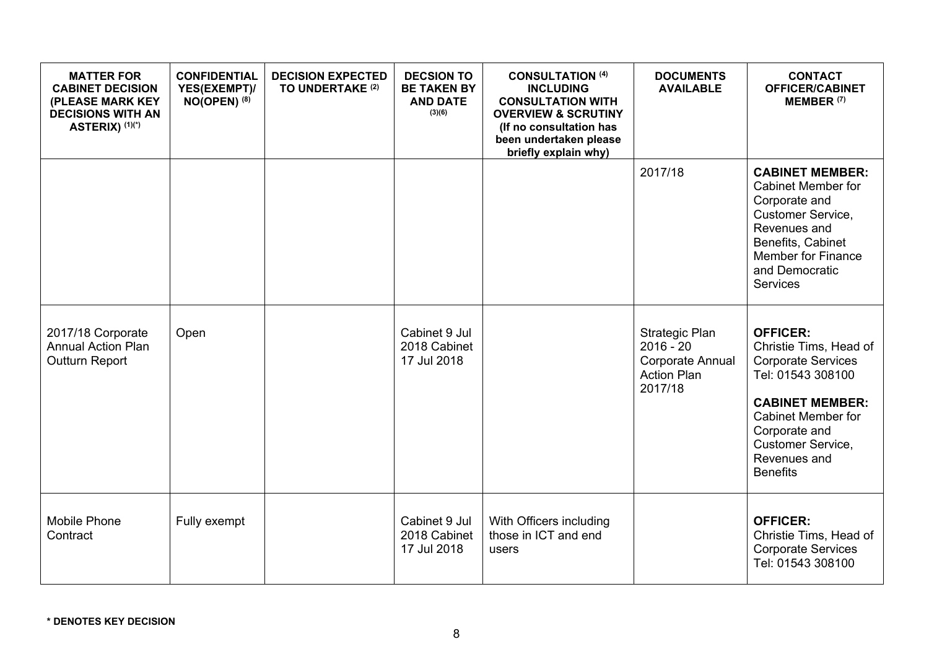| <b>MATTER FOR</b><br><b>CABINET DECISION</b><br>(PLEASE MARK KEY<br><b>DECISIONS WITH AN</b><br>ASTERIX) (1)(*) | <b>CONFIDENTIAL</b><br>YES(EXEMPT)/<br>$NO(OPEN)$ (8) | <b>DECISION EXPECTED</b><br>TO UNDERTAKE <sup>(2)</sup> | <b>DECSION TO</b><br><b>BE TAKEN BY</b><br><b>AND DATE</b><br>(3)(6) | <b>CONSULTATION (4)</b><br><b>INCLUDING</b><br><b>CONSULTATION WITH</b><br><b>OVERVIEW &amp; SCRUTINY</b><br>(If no consultation has<br>been undertaken please<br>briefly explain why) | <b>DOCUMENTS</b><br><b>AVAILABLE</b>                                               | <b>CONTACT</b><br><b>OFFICER/CABINET</b><br>MEMBER <sup>(7)</sup>                                                                                                                                                           |
|-----------------------------------------------------------------------------------------------------------------|-------------------------------------------------------|---------------------------------------------------------|----------------------------------------------------------------------|----------------------------------------------------------------------------------------------------------------------------------------------------------------------------------------|------------------------------------------------------------------------------------|-----------------------------------------------------------------------------------------------------------------------------------------------------------------------------------------------------------------------------|
|                                                                                                                 |                                                       |                                                         |                                                                      |                                                                                                                                                                                        | 2017/18                                                                            | <b>CABINET MEMBER:</b><br><b>Cabinet Member for</b><br>Corporate and<br>Customer Service,<br>Revenues and<br>Benefits, Cabinet<br><b>Member for Finance</b><br>and Democratic<br><b>Services</b>                            |
| 2017/18 Corporate<br><b>Annual Action Plan</b><br>Outturn Report                                                | Open                                                  |                                                         | Cabinet 9 Jul<br>2018 Cabinet<br>17 Jul 2018                         |                                                                                                                                                                                        | Strategic Plan<br>$2016 - 20$<br>Corporate Annual<br><b>Action Plan</b><br>2017/18 | <b>OFFICER:</b><br>Christie Tims, Head of<br><b>Corporate Services</b><br>Tel: 01543 308100<br><b>CABINET MEMBER:</b><br><b>Cabinet Member for</b><br>Corporate and<br>Customer Service,<br>Revenues and<br><b>Benefits</b> |
| <b>Mobile Phone</b><br>Contract                                                                                 | Fully exempt                                          |                                                         | Cabinet 9 Jul<br>2018 Cabinet<br>17 Jul 2018                         | With Officers including<br>those in ICT and end<br>users                                                                                                                               |                                                                                    | <b>OFFICER:</b><br>Christie Tims, Head of<br><b>Corporate Services</b><br>Tel: 01543 308100                                                                                                                                 |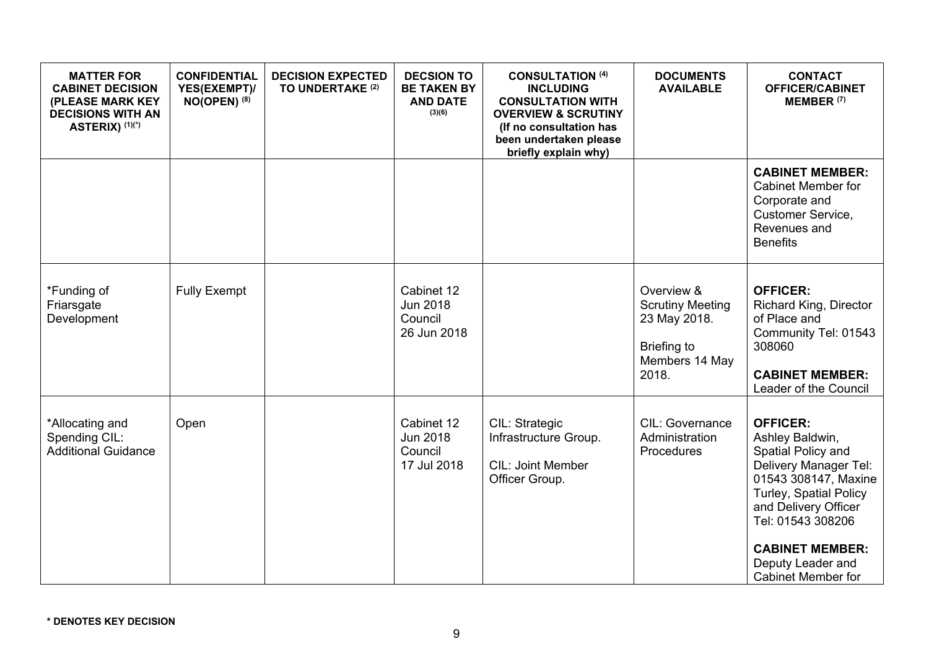| <b>MATTER FOR</b><br><b>CABINET DECISION</b><br>(PLEASE MARK KEY<br><b>DECISIONS WITH AN</b><br>ASTERIX) (1)(*) | <b>CONFIDENTIAL</b><br>YES(EXEMPT)/<br>$NO(OPEN)$ (8) | <b>DECISION EXPECTED</b><br>TO UNDERTAKE (2) | <b>DECSION TO</b><br><b>BE TAKEN BY</b><br><b>AND DATE</b><br>(3)(6) | <b>CONSULTATION (4)</b><br><b>INCLUDING</b><br><b>CONSULTATION WITH</b><br><b>OVERVIEW &amp; SCRUTINY</b><br>(If no consultation has<br>been undertaken please<br>briefly explain why) | <b>DOCUMENTS</b><br><b>AVAILABLE</b>                                                            | <b>CONTACT</b><br><b>OFFICER/CABINET</b><br>MEMBER <sup>(7)</sup>                                                                                                                                          |
|-----------------------------------------------------------------------------------------------------------------|-------------------------------------------------------|----------------------------------------------|----------------------------------------------------------------------|----------------------------------------------------------------------------------------------------------------------------------------------------------------------------------------|-------------------------------------------------------------------------------------------------|------------------------------------------------------------------------------------------------------------------------------------------------------------------------------------------------------------|
|                                                                                                                 |                                                       |                                              |                                                                      |                                                                                                                                                                                        |                                                                                                 | <b>CABINET MEMBER:</b><br><b>Cabinet Member for</b><br>Corporate and<br>Customer Service,<br>Revenues and<br><b>Benefits</b>                                                                               |
| *Funding of<br>Friarsgate<br>Development                                                                        | <b>Fully Exempt</b>                                   |                                              | Cabinet 12<br><b>Jun 2018</b><br>Council<br>26 Jun 2018              |                                                                                                                                                                                        | Overview &<br><b>Scrutiny Meeting</b><br>23 May 2018.<br>Briefing to<br>Members 14 May<br>2018. | <b>OFFICER:</b><br>Richard King, Director<br>of Place and<br>Community Tel: 01543<br>308060<br><b>CABINET MEMBER:</b><br>Leader of the Council                                                             |
| *Allocating and<br>Spending CIL:<br><b>Additional Guidance</b>                                                  | Open                                                  |                                              | Cabinet 12<br>Jun 2018<br>Council<br>17 Jul 2018                     | CIL: Strategic<br>Infrastructure Group.<br>CIL: Joint Member<br>Officer Group.                                                                                                         | CIL: Governance<br>Administration<br>Procedures                                                 | <b>OFFICER:</b><br>Ashley Baldwin,<br>Spatial Policy and<br>Delivery Manager Tel:<br>01543 308147, Maxine<br>Turley, Spatial Policy<br>and Delivery Officer<br>Tel: 01543 308206<br><b>CABINET MEMBER:</b> |
|                                                                                                                 |                                                       |                                              |                                                                      |                                                                                                                                                                                        |                                                                                                 | Deputy Leader and<br><b>Cabinet Member for</b>                                                                                                                                                             |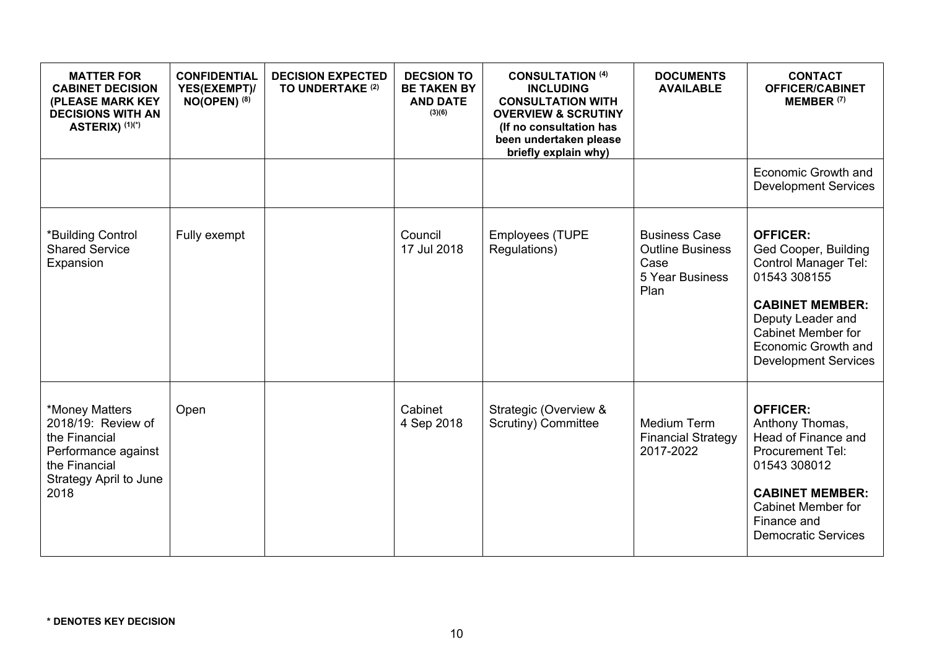| <b>MATTER FOR</b><br><b>CABINET DECISION</b><br>(PLEASE MARK KEY<br><b>DECISIONS WITH AN</b><br>ASTERIX) (1)(*)                 | <b>CONFIDENTIAL</b><br>YES(EXEMPT)/<br>$NO(OPEN)$ <sup>(8)</sup> | <b>DECISION EXPECTED</b><br>TO UNDERTAKE (2) | <b>DECSION TO</b><br><b>BE TAKEN BY</b><br><b>AND DATE</b><br>(3)(6) | <b>CONSULTATION (4)</b><br><b>INCLUDING</b><br><b>CONSULTATION WITH</b><br><b>OVERVIEW &amp; SCRUTINY</b><br>(If no consultation has<br>been undertaken please<br>briefly explain why) | <b>DOCUMENTS</b><br><b>AVAILABLE</b>                                               | <b>CONTACT</b><br><b>OFFICER/CABINET</b><br>MEMBER <sup>(7)</sup>                                                                                                                                                        |
|---------------------------------------------------------------------------------------------------------------------------------|------------------------------------------------------------------|----------------------------------------------|----------------------------------------------------------------------|----------------------------------------------------------------------------------------------------------------------------------------------------------------------------------------|------------------------------------------------------------------------------------|--------------------------------------------------------------------------------------------------------------------------------------------------------------------------------------------------------------------------|
|                                                                                                                                 |                                                                  |                                              |                                                                      |                                                                                                                                                                                        |                                                                                    | Economic Growth and<br><b>Development Services</b>                                                                                                                                                                       |
| *Building Control<br><b>Shared Service</b><br>Expansion                                                                         | Fully exempt                                                     |                                              | Council<br>17 Jul 2018                                               | <b>Employees (TUPE</b><br>Regulations)                                                                                                                                                 | <b>Business Case</b><br><b>Outline Business</b><br>Case<br>5 Year Business<br>Plan | <b>OFFICER:</b><br>Ged Cooper, Building<br><b>Control Manager Tel:</b><br>01543 308155<br><b>CABINET MEMBER:</b><br>Deputy Leader and<br><b>Cabinet Member for</b><br>Economic Growth and<br><b>Development Services</b> |
| *Money Matters<br>2018/19: Review of<br>the Financial<br>Performance against<br>the Financial<br>Strategy April to June<br>2018 | Open                                                             |                                              | Cabinet<br>4 Sep 2018                                                | Strategic (Overview &<br>Scrutiny) Committee                                                                                                                                           | Medium Term<br><b>Financial Strategy</b><br>2017-2022                              | <b>OFFICER:</b><br>Anthony Thomas,<br>Head of Finance and<br><b>Procurement Tel:</b><br>01543 308012<br><b>CABINET MEMBER:</b><br><b>Cabinet Member for</b><br>Finance and<br><b>Democratic Services</b>                 |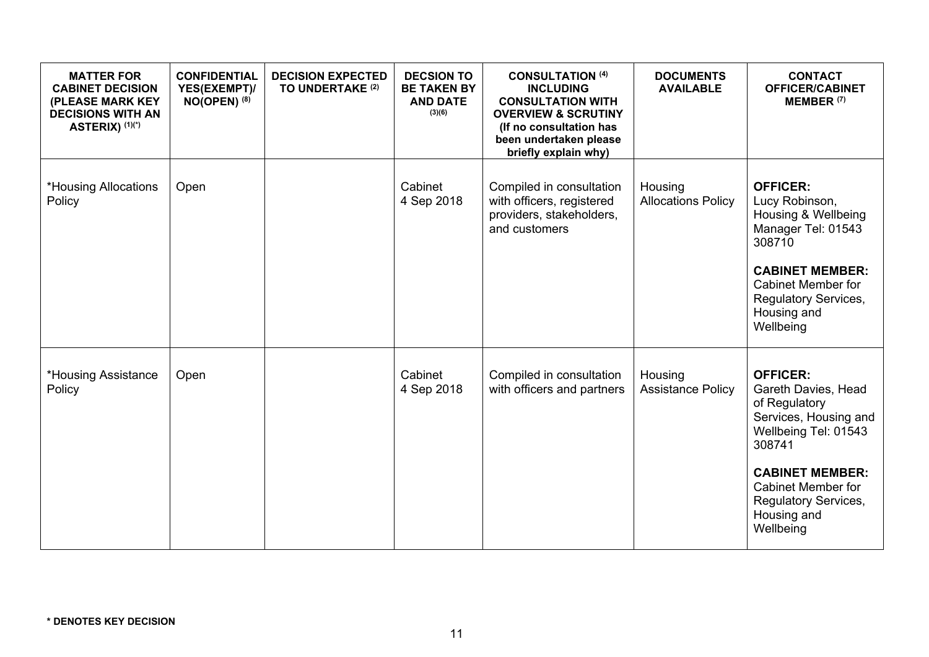| <b>MATTER FOR</b><br><b>CABINET DECISION</b><br>(PLEASE MARK KEY<br><b>DECISIONS WITH AN</b><br>ASTERIX) (1)(*) | <b>CONFIDENTIAL</b><br>YES(EXEMPT)/<br>$NO(OPEN)$ <sup>(8)</sup> | <b>DECISION EXPECTED</b><br>TO UNDERTAKE (2) | <b>DECSION TO</b><br><b>BE TAKEN BY</b><br><b>AND DATE</b><br>(3)(6) | <b>CONSULTATION (4)</b><br><b>INCLUDING</b><br><b>CONSULTATION WITH</b><br><b>OVERVIEW &amp; SCRUTINY</b><br>(If no consultation has<br>been undertaken please<br>briefly explain why) | <b>DOCUMENTS</b><br><b>AVAILABLE</b> | <b>CONTACT</b><br><b>OFFICER/CABINET</b><br><b>MEMBER (7)</b>                                                                                                                                                          |
|-----------------------------------------------------------------------------------------------------------------|------------------------------------------------------------------|----------------------------------------------|----------------------------------------------------------------------|----------------------------------------------------------------------------------------------------------------------------------------------------------------------------------------|--------------------------------------|------------------------------------------------------------------------------------------------------------------------------------------------------------------------------------------------------------------------|
| *Housing Allocations<br>Policy                                                                                  | Open                                                             |                                              | Cabinet<br>4 Sep 2018                                                | Compiled in consultation<br>with officers, registered<br>providers, stakeholders,<br>and customers                                                                                     | Housing<br><b>Allocations Policy</b> | <b>OFFICER:</b><br>Lucy Robinson,<br>Housing & Wellbeing<br>Manager Tel: 01543<br>308710<br><b>CABINET MEMBER:</b><br><b>Cabinet Member for</b><br>Regulatory Services,<br>Housing and<br>Wellbeing                    |
| *Housing Assistance<br>Policy                                                                                   | Open                                                             |                                              | Cabinet<br>4 Sep 2018                                                | Compiled in consultation<br>with officers and partners                                                                                                                                 | Housing<br><b>Assistance Policy</b>  | <b>OFFICER:</b><br>Gareth Davies, Head<br>of Regulatory<br>Services, Housing and<br>Wellbeing Tel: 01543<br>308741<br><b>CABINET MEMBER:</b><br>Cabinet Member for<br>Regulatory Services,<br>Housing and<br>Wellbeing |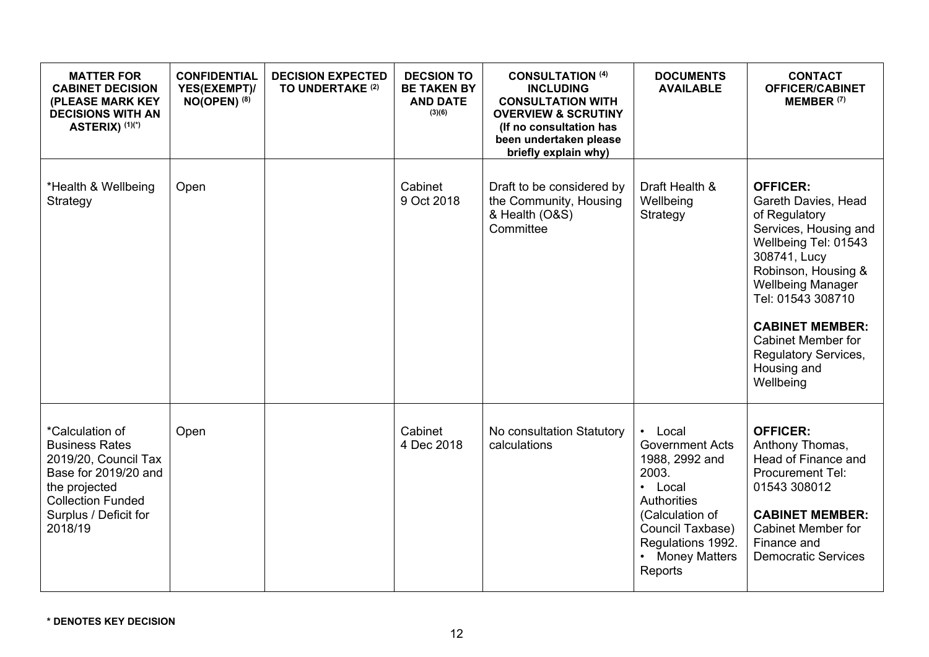| <b>MATTER FOR</b><br><b>CABINET DECISION</b><br>(PLEASE MARK KEY<br><b>DECISIONS WITH AN</b><br>ASTERIX) (1)(*)                                                           | <b>CONFIDENTIAL</b><br>YES(EXEMPT)/<br>$NO(OPEN)$ (8) | <b>DECISION EXPECTED</b><br>TO UNDERTAKE (2) | <b>DECSION TO</b><br><b>BE TAKEN BY</b><br><b>AND DATE</b><br>(3)(6) | <b>CONSULTATION (4)</b><br><b>INCLUDING</b><br><b>CONSULTATION WITH</b><br><b>OVERVIEW &amp; SCRUTINY</b><br>(If no consultation has<br>been undertaken please<br>briefly explain why) | <b>DOCUMENTS</b><br><b>AVAILABLE</b>                                                                                                                                                  | <b>CONTACT</b><br><b>OFFICER/CABINET</b><br>MEMBER <sup>(7)</sup>                                                                                                                                                                                                                                           |
|---------------------------------------------------------------------------------------------------------------------------------------------------------------------------|-------------------------------------------------------|----------------------------------------------|----------------------------------------------------------------------|----------------------------------------------------------------------------------------------------------------------------------------------------------------------------------------|---------------------------------------------------------------------------------------------------------------------------------------------------------------------------------------|-------------------------------------------------------------------------------------------------------------------------------------------------------------------------------------------------------------------------------------------------------------------------------------------------------------|
| *Health & Wellbeing<br>Strategy                                                                                                                                           | Open                                                  |                                              | Cabinet<br>9 Oct 2018                                                | Draft to be considered by<br>the Community, Housing<br>& Health (O&S)<br>Committee                                                                                                     | Draft Health &<br>Wellbeing<br>Strategy                                                                                                                                               | <b>OFFICER:</b><br>Gareth Davies, Head<br>of Regulatory<br>Services, Housing and<br>Wellbeing Tel: 01543<br>308741, Lucy<br>Robinson, Housing &<br><b>Wellbeing Manager</b><br>Tel: 01543 308710<br><b>CABINET MEMBER:</b><br>Cabinet Member for<br><b>Regulatory Services,</b><br>Housing and<br>Wellbeing |
| *Calculation of<br><b>Business Rates</b><br>2019/20, Council Tax<br>Base for 2019/20 and<br>the projected<br><b>Collection Funded</b><br>Surplus / Deficit for<br>2018/19 | Open                                                  |                                              | Cabinet<br>4 Dec 2018                                                | No consultation Statutory<br>calculations                                                                                                                                              | • Local<br><b>Government Acts</b><br>1988, 2992 and<br>2003.<br>• Local<br>Authorities<br>(Calculation of<br>Council Taxbase)<br>Regulations 1992.<br><b>Money Matters</b><br>Reports | <b>OFFICER:</b><br>Anthony Thomas,<br>Head of Finance and<br><b>Procurement Tel:</b><br>01543 308012<br><b>CABINET MEMBER:</b><br><b>Cabinet Member for</b><br>Finance and<br><b>Democratic Services</b>                                                                                                    |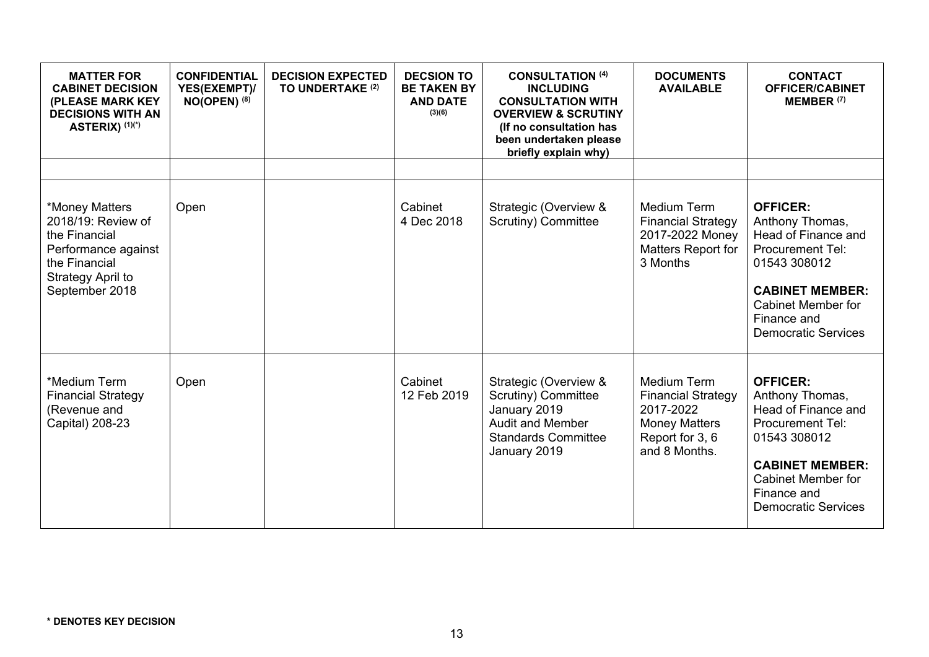| <b>MATTER FOR</b><br><b>CABINET DECISION</b><br>(PLEASE MARK KEY<br><b>DECISIONS WITH AN</b><br>ASTERIX) (1)(*)                      | <b>CONFIDENTIAL</b><br>YES(EXEMPT)/<br>$NO(OPEN)$ (8) | <b>DECISION EXPECTED</b><br>TO UNDERTAKE (2) | <b>DECSION TO</b><br><b>BE TAKEN BY</b><br><b>AND DATE</b><br>(3)(6) | <b>CONSULTATION (4)</b><br><b>INCLUDING</b><br><b>CONSULTATION WITH</b><br><b>OVERVIEW &amp; SCRUTINY</b><br>(If no consultation has<br>been undertaken please<br>briefly explain why) | <b>DOCUMENTS</b><br><b>AVAILABLE</b>                                                                              | <b>CONTACT</b><br><b>OFFICER/CABINET</b><br>MEMBER <sup>(7)</sup>                                                                                                                                        |
|--------------------------------------------------------------------------------------------------------------------------------------|-------------------------------------------------------|----------------------------------------------|----------------------------------------------------------------------|----------------------------------------------------------------------------------------------------------------------------------------------------------------------------------------|-------------------------------------------------------------------------------------------------------------------|----------------------------------------------------------------------------------------------------------------------------------------------------------------------------------------------------------|
|                                                                                                                                      |                                                       |                                              |                                                                      |                                                                                                                                                                                        |                                                                                                                   |                                                                                                                                                                                                          |
| *Money Matters<br>2018/19: Review of<br>the Financial<br>Performance against<br>the Financial<br>Strategy April to<br>September 2018 | Open                                                  |                                              | Cabinet<br>4 Dec 2018                                                | Strategic (Overview &<br>Scrutiny) Committee                                                                                                                                           | Medium Term<br><b>Financial Strategy</b><br>2017-2022 Money<br>Matters Report for<br>3 Months                     | <b>OFFICER:</b><br>Anthony Thomas,<br>Head of Finance and<br><b>Procurement Tel:</b><br>01543 308012<br><b>CABINET MEMBER:</b><br>Cabinet Member for<br>Finance and<br><b>Democratic Services</b>        |
| *Medium Term<br><b>Financial Strategy</b><br>(Revenue and<br>Capital) 208-23                                                         | Open                                                  |                                              | Cabinet<br>12 Feb 2019                                               | Strategic (Overview &<br>Scrutiny) Committee<br>January 2019<br><b>Audit and Member</b><br><b>Standards Committee</b><br>January 2019                                                  | Medium Term<br><b>Financial Strategy</b><br>2017-2022<br><b>Money Matters</b><br>Report for 3, 6<br>and 8 Months. | <b>OFFICER:</b><br>Anthony Thomas,<br>Head of Finance and<br><b>Procurement Tel:</b><br>01543 308012<br><b>CABINET MEMBER:</b><br><b>Cabinet Member for</b><br>Finance and<br><b>Democratic Services</b> |